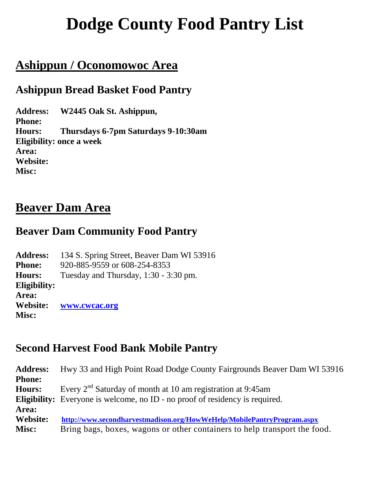# **Dodge County Food Pantry List**

# **Ashippun / Oconomowoc Area**

### **Ashippun Bread Basket Food Pantry**

**Address: W2445 Oak St. Ashippun, Phone: Hours: Thursdays 6-7pm Saturdays 9-10:30am Eligibility: once a week Area: Website: Misc:**

### **Beaver Dam Area**

#### **Beaver Dam Community Food Pantry**

| 134 S. Spring Street, Beaver Dam WI 53916 |
|-------------------------------------------|
| 920-885-9559 or 608-254-8353              |
| Tuesday and Thursday, $1:30 - 3:30$ pm.   |
|                                           |
|                                           |
| www.cwcac.org                             |
|                                           |
|                                           |

#### **Second Harvest Food Bank Mobile Pantry**

| <b>Address:</b> | Hwy 33 and High Point Road Dodge County Fairgrounds Beaver Dam WI 53916             |
|-----------------|-------------------------------------------------------------------------------------|
| <b>Phone:</b>   |                                                                                     |
| <b>Hours:</b>   | Every $2^{nd}$ Saturday of month at 10 am registration at 9:45am                    |
|                 | <b>Eligibility:</b> Everyone is welcome, no ID - no proof of residency is required. |
| Area:           |                                                                                     |
| Website:        | http://www.secondharvestmadison.org/HowWeHelp/MobilePantryProgram.aspx              |
| Misc:           | Bring bags, boxes, wagons or other containers to help transport the food.           |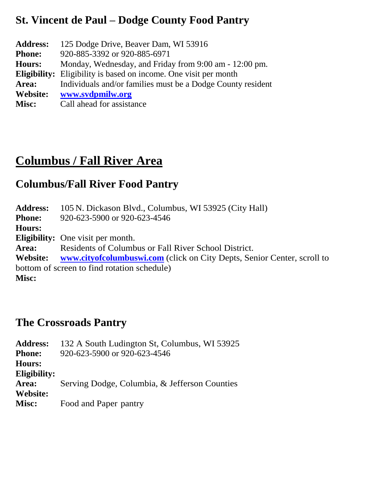## **St. Vincent de Paul – Dodge County Food Pantry**

| <b>Address:</b> | 125 Dodge Drive, Beaver Dam, WI 53916                                   |
|-----------------|-------------------------------------------------------------------------|
| <b>Phone:</b>   | 920-885-3392 or 920-885-6971                                            |
| <b>Hours:</b>   | Monday, Wednesday, and Friday from 9:00 am - 12:00 pm.                  |
|                 | <b>Eligibility:</b> Eligibility is based on income. One visit per month |
| Area:           | Individuals and/or families must be a Dodge County resident             |
| <b>Website:</b> | www.svdpmilw.org                                                        |
| <b>Misc:</b>    | Call ahead for assistance                                               |

# **Columbus / Fall River Area**

### **Columbus/Fall River Food Pantry**

**Address:** 105 N. Dickason Blvd., Columbus, WI 53925 (City Hall) **Phone:** 920-623-5900 or 920-623-4546 **Hours: Eligibility:** One visit per month. **Area:** Residents of Columbus or Fall River School District. **Website: [www.cityofcolumbuswi.com](http://www.cityofcolumbuswi.com/)** (click on City Depts, Senior Center, scroll to bottom of screen to find rotation schedule) **Misc:**

#### **The Crossroads Pantry**

**Address:** 132 A South Ludington St, Columbus, WI 53925 **Phone:** 920-623-5900 or 920-623-4546 **Hours: Eligibility: Area:** Serving Dodge, Columbia, & Jefferson Counties **Website: Misc:** Food and Paper pantry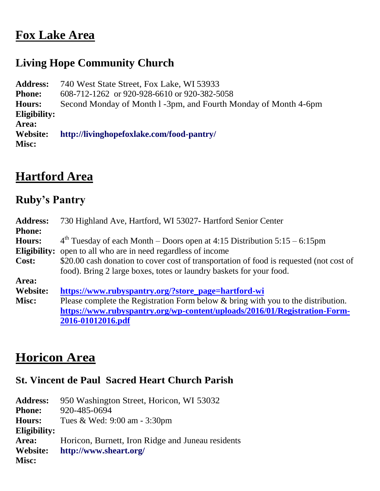## **Fox Lake Area**

# **Living Hope Community Church**

**Address:** 740 West State Street, Fox Lake, WI 53933 **Phone:** 608-712-1262 or 920-928-6610 or 920-382-5058 **Hours:** Second Monday of Month l -3pm, and Fourth Monday of Month 4-6pm **Eligibility: Area: Website: <http://livinghopefoxlake.com/food-pantry/> Misc:**

# **Hartford Area**

# **Ruby's Pantry**

| <b>Address:</b> | 730 Highland Ave, Hartford, WI 53027- Hartford Senior Center                            |
|-----------------|-----------------------------------------------------------------------------------------|
| <b>Phone:</b>   |                                                                                         |
| <b>Hours:</b>   | $4th$ Tuesday of each Month – Doors open at 4:15 Distribution 5:15 – 6:15pm             |
| Eligibility:    | open to all who are in need regardless of income                                        |
| Cost:           | \$20.00 cash donation to cover cost of transportation of food is requested (not cost of |
|                 | food). Bring 2 large boxes, totes or laundry baskets for your food.                     |
| Area:           |                                                                                         |
| Website:        | https://www.rubyspantry.org/?store_page=hartford-wi                                     |
| Misc:           | Please complete the Registration Form below & bring with you to the distribution.       |
|                 | https://www.rubyspantry.org/wp-content/uploads/2016/01/Registration-Form-               |
|                 | 2016-01012016.pdf                                                                       |

# **Horicon Area**

#### **St. Vincent de Paul Sacred Heart Church Parish**

| <b>Address:</b> | 950 Washington Street, Horicon, WI 53032          |
|-----------------|---------------------------------------------------|
| <b>Phone:</b>   | 920-485-0694                                      |
| <b>Hours:</b>   | Tues & Wed: 9:00 am - 3:30pm                      |
| Eligibility:    |                                                   |
| Area:           | Horicon, Burnett, Iron Ridge and Juneau residents |
| Website:        | http://www.sheart.org/                            |
| Misc:           |                                                   |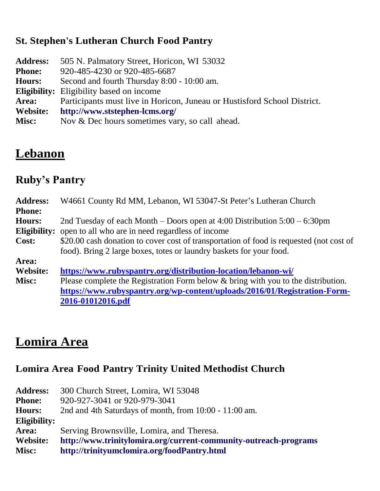#### **St. Stephen's Lutheran Church Food Pantry**

**Address:** 505 N. Palmatory Street, Horicon, WI 53032 **Phone:** 920-485-4230 or 920-485-6687 **Hours:** Second and fourth Thursday 8:00 - 10:00 am. **Eligibility:** Eligibility based on income **Area:** Participants must live in Horicon, Juneau or Hustisford School District. **Website: <http://www.ststephen-lcms.org/>** Misc: Nov & Dec hours sometimes vary, so call ahead.

# **Lebanon**

# **Ruby's Pantry**

| <b>Address:</b> | W4661 County Rd MM, Lebanon, WI 53047-St Peter's Lutheran Church                        |
|-----------------|-----------------------------------------------------------------------------------------|
| <b>Phone:</b>   |                                                                                         |
| <b>Hours:</b>   | 2nd Tuesday of each Month – Doors open at 4:00 Distribution $5:00 - 6:30$ pm            |
| Eligibility:    | open to all who are in need regardless of income                                        |
| Cost:           | \$20.00 cash donation to cover cost of transportation of food is requested (not cost of |
|                 | food). Bring 2 large boxes, totes or laundry baskets for your food.                     |
| Area:           |                                                                                         |
| <b>Website:</b> | https://www.rubyspantry.org/distribution-location/lebanon-wi/                           |
| Misc:           | Please complete the Registration Form below & bring with you to the distribution.       |
|                 | https://www.rubyspantry.org/wp-content/uploads/2016/01/Registration-Form-               |
|                 | 2016-01012016.pdf                                                                       |

# **Lomira Area**

#### **Lomira Area Food Pantry Trinity United Methodist Church**

| <b>Address:</b> | 300 Church Street, Lomira, WI 53048                              |
|-----------------|------------------------------------------------------------------|
| <b>Phone:</b>   | 920-927-3041 or 920-979-3041                                     |
| <b>Hours:</b>   | 2nd and 4th Saturdays of month, from 10:00 - 11:00 am.           |
| Eligibility:    |                                                                  |
| Area:           | Serving Brownsville, Lomira, and Theresa.                        |
| <b>Website:</b> | http://www.trinitylomira.org/current-community-outreach-programs |
| Misc:           | http://trinityumclomira.org/foodPantry.html                      |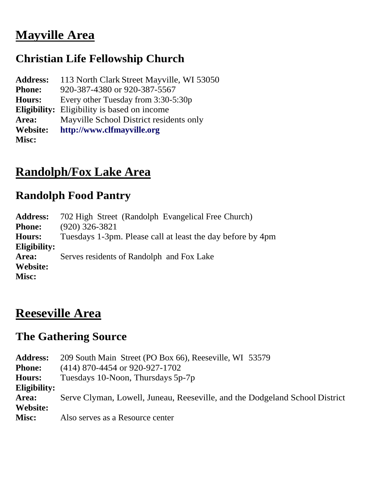# **Mayville Area**

# **Christian Life Fellowship Church**

| <b>Address:</b> | 113 North Clark Street Mayville, WI 53050          |
|-----------------|----------------------------------------------------|
| <b>Phone:</b>   | 920-387-4380 or 920-387-5567                       |
| <b>Hours:</b>   | Every other Tuesday from 3:30-5:30p                |
|                 | <b>Eligibility:</b> Eligibility is based on income |
| Area:           | Mayville School District residents only            |
| Website:        | http://www.clfmayville.org                         |
| <b>Misc:</b>    |                                                    |

# **Randolph/Fox Lake Area**

#### **Randolph Food Pantry**

| 702 High Street (Randolph Evangelical Free Church)         |
|------------------------------------------------------------|
| $(920)$ 326-3821                                           |
| Tuesdays 1-3pm. Please call at least the day before by 4pm |
|                                                            |
| Serves residents of Randolph and Fox Lake                  |
|                                                            |
|                                                            |
|                                                            |

# **Reeseville Area**

### **The Gathering Source**

**Address:** 209 South Main Street (PO Box 66), Reeseville, WI 53579 **Phone:** (414) 870-4454 or 920-927-1702 **Hours:** Tuesdays 10-Noon, Thursdays 5p-7p **Eligibility: Area:** Serve Clyman, Lowell, Juneau, Reeseville, and the Dodgeland School District **Website: Misc:** Also serves as a Resource center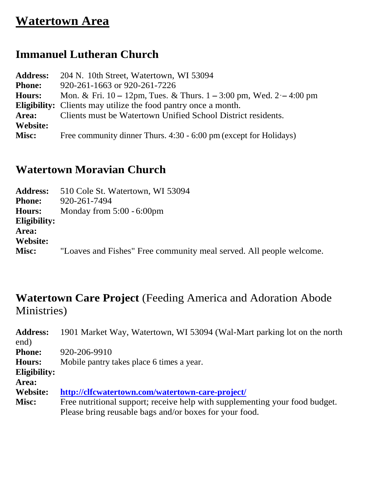# **Watertown Area**

## **Immanuel Lutheran Church**

| 204 N. 10th Street, Watertown, WI 53094                                 |
|-------------------------------------------------------------------------|
| 920-261-1663 or 920-261-7226                                            |
| Mon. & Fri. 10 – 12pm, Tues. & Thurs. $1 - 3:00$ pm, Wed. $2 - 4:00$ pm |
| <b>Eligibility:</b> Clients may utilize the food pantry once a month.   |
| Clients must be Watertown Unified School District residents.            |
|                                                                         |
| Free community dinner Thurs. 4:30 - 6:00 pm (except for Holidays)       |
|                                                                         |

### **Watertown Moravian Church**

| <b>Address:</b> | 510 Cole St. Watertown, WI 53094                                    |
|-----------------|---------------------------------------------------------------------|
| <b>Phone:</b>   | 920-261-7494                                                        |
| <b>Hours:</b>   | Monday from $5:00 - 6:00$ pm                                        |
| Eligibility:    |                                                                     |
| Area:           |                                                                     |
| Website:        |                                                                     |
| Misc:           | "Loaves and Fishes" Free community meal served. All people welcome. |

## **Watertown Care Project** (Feeding America and Adoration Abode Ministries)

**Address:** 1901 Market Way, Watertown, WI 53094 (Wal-Mart parking lot on the north end) **Phone:** 920-206-9910 **Hours:** Mobile pantry takes place 6 times a year. **Eligibility: Area: Website: <http://clfcwatertown.com/watertown-care-project/> Misc:** Free nutritional support; receive help with supplementing your food budget. Please bring reusable bags and/or boxes for your food.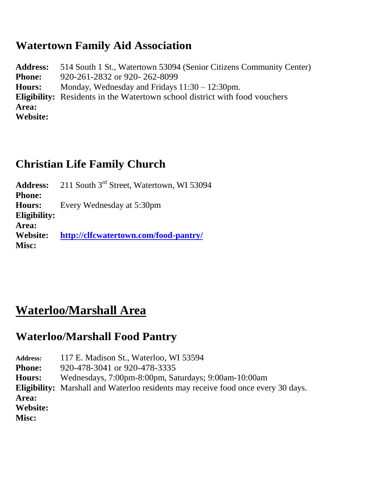#### **Watertown Family Aid Association**

**Address:** 514 South 1 St., Watertown 53094 (Senior Citizens Community Center) **Phone:** 920-261-2832 or 920-262-8099 **Hours:** Monday, Wednesday and Fridays 11:30 – 12:30pm. **Eligibility:** Residents in the Watertown school district with food vouchers **Area: Website:**

### **Christian Life Family Church**

Address: 211 South 3<sup>rd</sup> Street, Watertown, WI 53094 **Phone: Hours:** Every Wednesday at 5:30pm **Eligibility: Area: Website: <http://clfcwatertown.com/food-pantry/> Misc:**

# **Waterloo/Marshall Area**

### **Waterloo/Marshall Food Pantry**

**Address:** 117 E. Madison St., Waterloo, WI 53594 **Phone:** 920-478-3041 or 920-478-3335 **Hours:** Wednesdays, 7:00pm-8:00pm, Saturdays; 9:00am-10:00am **Eligibility:** Marshall and Waterloo residents may receive food once every 30 days. **Area: Website: Misc:**